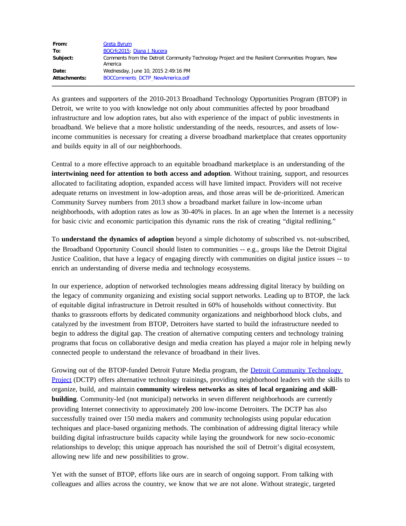| From:        | Greta Byrum                                                                                                  |
|--------------|--------------------------------------------------------------------------------------------------------------|
| To:          | BOCrfc2015; Diana J Nucera                                                                                   |
| Subject:     | Comments from the Detroit Community Technology Project and the Resilient Communities Program, New<br>America |
| Date:        | Wednesday, June 10, 2015 2:49:16 PM                                                                          |
| Attachments: | BOCComments DCTP NewAmerica.pdf                                                                              |

As grantees and supporters of the 2010-2013 Broadband Technology Opportunities Program (BTOP) in Detroit, we write to you with knowledge not only about communities affected by poor broadband infrastructure and low adoption rates, but also with experience of the impact of public investments in broadband. We believe that a more holistic understanding of the needs, resources, and assets of lowincome communities is necessary for creating a diverse broadband marketplace that creates opportunity and builds equity in all of our neighborhoods.

Central to a more effective approach to an equitable broadband marketplace is an understanding of the **intertwining need for attention to both access and adoption**. Without training, support, and resources allocated to facilitating adoption, expanded access will have limited impact. Providers will not receive adequate returns on investment in low-adoption areas, and those areas will be de-prioritized. American Community Survey numbers from 2013 show a broadband market failure in low-income urban neighborhoods, with adoption rates as low as 30-40% in places. In an age when the Internet is a necessity for basic civic and economic participation this dynamic runs the risk of creating "digital redlining."

To **understand the dynamics of adoption** beyond a simple dichotomy of subscribed vs. not-subscribed, the Broadband Opportunity Council should listen to communities -- e.g., groups like the Detroit Digital Justice Coalition, that have a legacy of engaging directly with communities on digital justice issues -- to enrich an understanding of diverse media and technology ecosystems.

In our experience, adoption of networked technologies means addressing digital literacy by building on the legacy of community organizing and existing social support networks. Leading up to BTOP, the lack of equitable digital infrastructure in Detroit resulted in 60% of households without connectivity. But thanks to grassroots efforts by dedicated community organizations and neighborhood block clubs, and catalyzed by the investment from BTOP, Detroiters have started to build the infrastructure needed to begin to address the digital gap. The creation of alternative computing centers and technology training programs that focus on collaborative design and media creation has played a major role in helping newly connected people to understand the relevance of broadband in their lives.

Growing out of the BTOP-funded Detroit Future Media program, the [Detroit Community Technology](https://www.alliedmedia.org/dctp)  [Project](https://www.alliedmedia.org/dctp) (DCTP) offers alternative technology trainings, providing neighborhood leaders with the skills to organize, build, and maintain **community wireless networks as sites of local organizing and skillbuilding**. Community-led (not municipal) networks in seven different neighborhoods are currently providing Internet connectivity to approximately 200 low-income Detroiters. The DCTP has also successfully trained over 150 media makers and community technologists using popular education techniques and place-based organizing methods. The combination of addressing digital literacy while building digital infrastructure builds capacity while laying the groundwork for new socio-economic relationships to develop; this unique approach has nourished the soil of Detroit's digital ecosystem, allowing new life and new possibilities to grow.

Yet with the sunset of BTOP, efforts like ours are in search of ongoing support. From talking with colleagues and allies across the country, we know that we are not alone. Without strategic, targeted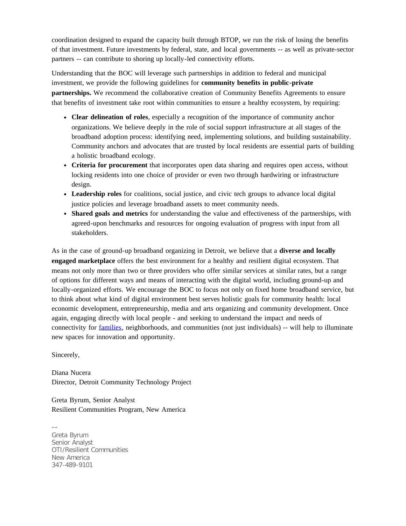coordination designed to expand the capacity built through BTOP, we run the risk of losing the benefits of that investment. Future investments by federal, state, and local governments -- as well as private-sector partners -- can contribute to shoring up locally-led connectivity efforts.

Understanding that the BOC will leverage such partnerships in addition to federal and municipal investment, we provide the following guidelines for **community benefits in public-private partnerships.** We recommend the collaborative creation of Community Benefits Agreements to ensure that benefits of investment take root within communities to ensure a healthy ecosystem, by requiring:

- **Clear delineation of roles**, especially a recognition of the importance of community anchor organizations. We believe deeply in the role of social support infrastructure at all stages of the broadband adoption process: identifying need, implementing solutions, and building sustainability. Community anchors and advocates that are trusted by local residents are essential parts of building a holistic broadband ecology.
- **Criteria for procurement** that incorporates open data sharing and requires open access, without locking residents into one choice of provider or even two through hardwiring or infrastructure design.
- **Leadership roles** for coalitions, social justice, and civic tech groups to advance local digital justice policies and leverage broadband assets to meet community needs.
- **Shared goals and metrics** for understanding the value and effectiveness of the partnerships, with agreed-upon benchmarks and resources for ongoing evaluation of progress with input from all stakeholders.

As in the case of ground-up broadband organizing in Detroit, we believe that a **diverse and locally engaged marketplace** offers the best environment for a healthy and resilient digital ecosystem. That means not only more than two or three providers who offer similar services at similar rates, but a range of options for different ways and means of interacting with the digital world, including ground-up and locally-organized efforts. We encourage the BOC to focus not only on fixed home broadband service, but to think about what kind of digital environment best serves holistic goals for community health: local economic development, entrepreneurship, media and arts organizing and community development. Once again, engaging directly with local people - and seeking to understand the impact and needs of connectivity for [families,](https://www.newamerica.org/family-centered-social-policy/families-and-the-pressures-of-digital-technologies/) neighborhoods, and communities (not just individuals) -- will help to illuminate new spaces for innovation and opportunity.

Sincerely,

Diana Nucera Director, Detroit Community Technology Project

Greta Byrum, Senior Analyst Resilient Communities Program, New America

-- Greta Byrum Senior Analyst OTI/Resilient Communities New America 347-489-9101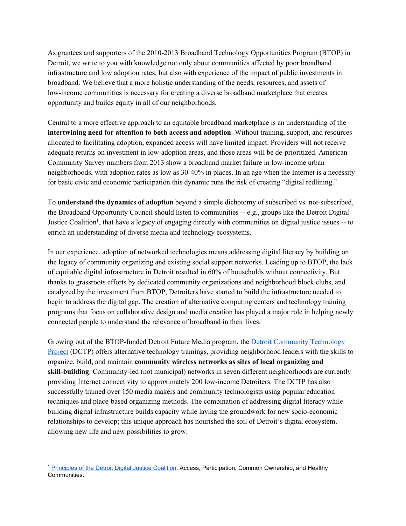As grantees and supporters of the 2010-2013 Broadband Technology Opportunities Program (BTOP) in Detroit, we write to you with knowledge not only about communities affected by poor broadband infrastructure and low adoption rates, but also with experience of the impact of public investments in broadband. We believe that a more holistic understanding of the needs, resources, and assets of low-income communities is necessary for creating a diverse broadband marketplace that creates opportunity and builds equity in all of our neighborhoods.

Central to a more effective approach to an equitable broadband marketplace is an understanding of the **intertwining need for attention to both access and adoption**. Without training, support, and resources allocated to facilitating adoption, expanded access will have limited impact. Providers will not receive adequate returns on investment in lowadoption areas, and those areas will be deprioritized. American Community Survey numbers from 2013 show a broadband market failure in lowincome urban neighborhoods, with adoption rates as low as 3040% in places. In an age when the Internet is a necessity for basic civic and economic participation this dynamic runs the risk of creating "digital redlining."

To **understand the dynamics of adoption**beyond a simple dichotomy of subscribed vs. notsubscribed, the Broadband Opportunity Council should listen to communities  $-e.g.,$  groups like the Detroit Digital Justice Coalition<sup>1</sup>, that have a legacy of engaging directly with communities on digital justice issues -- to enrich an understanding of diverse media and technology ecosystems.

In our experience, adoption of networked technologies means addressing digital literacy by building on the legacy of community organizing and existing social support networks. Leading up to BTOP, the lack of equitable digital infrastructure in Detroit resulted in 60% of households without connectivity. But thanks to grassroots efforts by dedicated community organizations and neighborhood block clubs, and catalyzed by the investment from BTOP, Detroiters have started to build the infrastructure needed to begin to address the digital gap. The creation of alternative computing centers and technology training programs that focus on collaborative design and media creation has played a major role in helping newly connected people to understand the relevance of broadband in their lives.

Growing out of the BTOP-funded Detroit Future Media program, the Detroit [Community](https://www.alliedmedia.org/dctp) Technology [Project](https://www.alliedmedia.org/dctp) (DCTP) offers alternative technology trainings, providing neighborhood leaders with the skills to organize, build, and maintain **community wireless networks as sites of local organizing and skill-building**. Community-led (not municipal) networks in seven different neighborhoods are currently providing Internet connectivity to approximately 200 lowincome Detroiters. The DCTP has also successfully trained over 150 media makers and community technologists using popular education techniques and place-based organizing methods. The combination of addressing digital literacy while building digital infrastructure builds capacity while laying the groundwork for new socioeconomic relationships to develop; this unique approach has nourished the soil of Detroit's digital ecosystem, allowing new life and new possibilities to grow.

<sup>1</sup> [Principles](http://detroitdjc.org/?page_id=9) of the Detroit Digital Justice Coalition: Access, Participation, Common Ownership, and Healthy Communities.